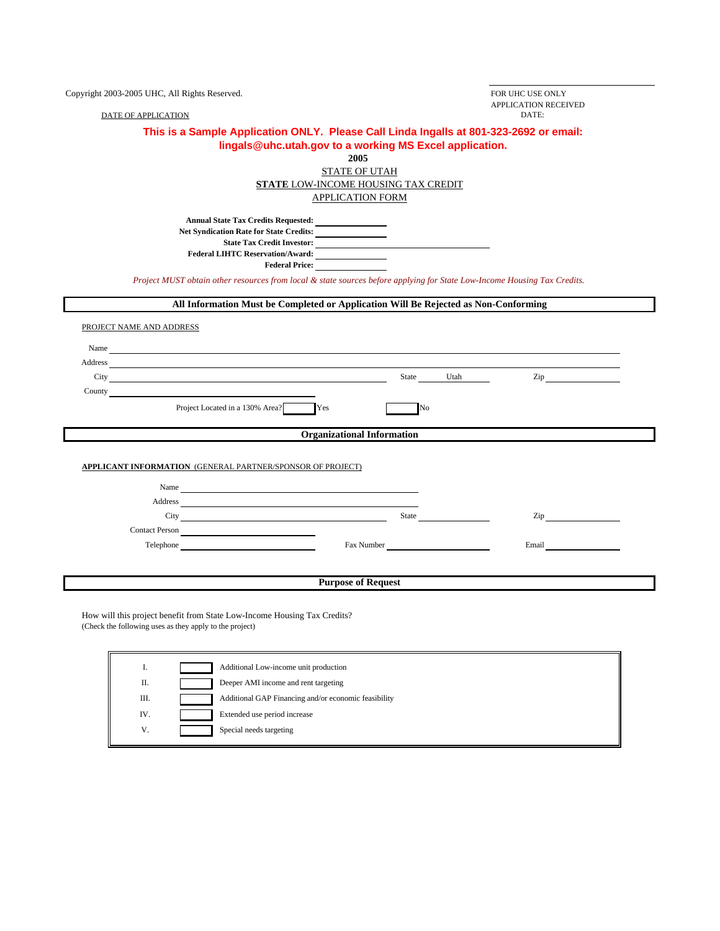Copyright 2003-2005 UHC, All Rights Reserved. The state of the state of the state of the SOR UHC USE ONLY APPLICATION RECEIVED DATE OF APPLICATION DATE: **2005** STATE OF UTAH **STATE** LOW-INCOME HOUSING TAX CREDIT APPLICATION FORM **Annual State Tax Credits Requested: Net Syndication Rate for State Credits: State Tax Credit Investor: Federal LIHTC Reservation/Award: Federal Price:** *Project MUST obtain other resources from local & state sources before applying for State Low-Income Housing Tax Credits.* **All Information Must be Completed or Application Will Be Rejected as Non-Conforming** PROJECT NAME AND ADDRESS Name Address City State Utah Zip County Project Located in a 130% Area? Yes No **Organizational Information APPLICANT INFORMATION** (GENERAL PARTNER/SPONSOR OF PROJECT) Name Address and the contract of the contract of the contract of the contract of the contract of the contract of the contract of the contract of the contract of the contract of the contract of the contract of the contract of th City Zip Zip Contact Person Telephone Email **Purpose of Request** How will this project benefit from State Low-Income Housing Tax Credits? (Check the following uses as they apply to the project) **This is a Sample Application ONLY. Please Call Linda Ingalls at 801-323-2692 or email: lingals@uhc.utah.gov to a working MS Excel application.**

|     | Additional Low-income unit production                |
|-----|------------------------------------------------------|
| П.  | Deeper AMI income and rent targeting                 |
| Ш.  | Additional GAP Financing and/or economic feasibility |
| IV. | Extended use period increase                         |
| V.  | Special needs targeting                              |
|     |                                                      |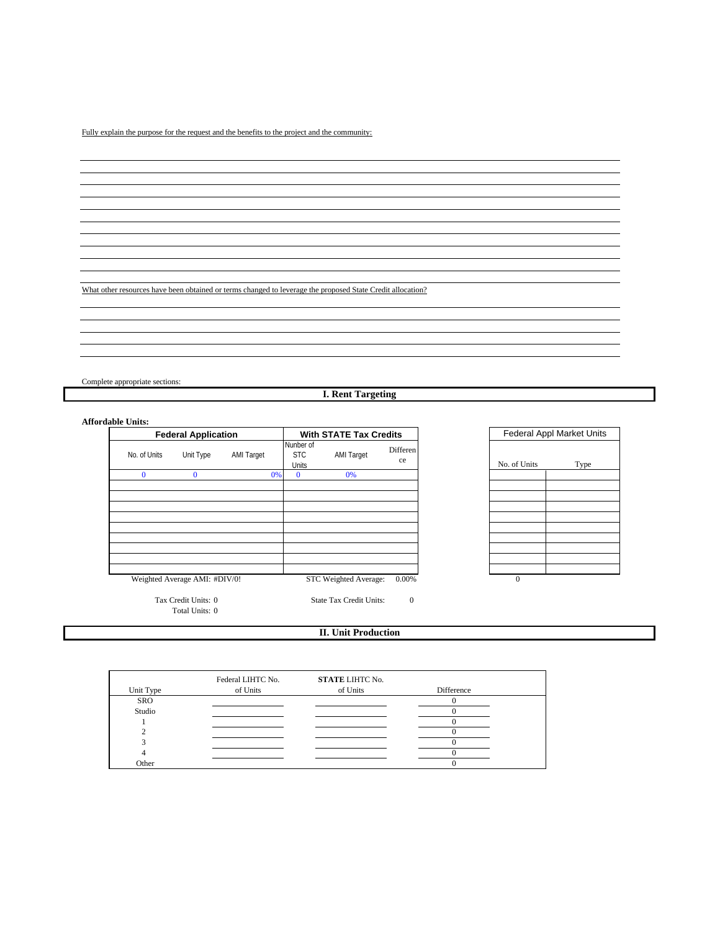Fully explain the purpose for the request and the benefits to the project and the community:

What other resources have been obtained or terms changed to leverage the proposed State Credit allocation?

Complete appropriate sections:

**I. Rent Targeting**

## **Affordable Units:**

| <b>Federal Application</b>    |           |                   |    |                                  | <b>With STATE Tax Credits</b> |                |
|-------------------------------|-----------|-------------------|----|----------------------------------|-------------------------------|----------------|
| No. of Units                  | Unit Type | <b>AMI Target</b> |    | Nunber of<br><b>STC</b><br>Units | <b>AMI Target</b>             | Differen<br>ce |
| $\Omega$<br>0                 |           |                   | 0% | $\bf{0}$                         | 0%                            |                |
|                               |           |                   |    |                                  |                               |                |
|                               |           |                   |    |                                  |                               |                |
|                               |           |                   |    |                                  |                               |                |
|                               |           |                   |    |                                  |                               |                |
|                               |           |                   |    |                                  |                               |                |
|                               |           |                   |    |                                  |                               |                |
|                               |           |                   |    |                                  |                               |                |
| Weighted Average AMI: #DIV/0! |           |                   |    |                                  | STC Weighted Average:         | 0.00%          |

| ŝ               |              | Federal Appl Market Units |
|-----------------|--------------|---------------------------|
| feren<br>ce     | No. of Units |                           |
|                 |              | Type                      |
|                 |              |                           |
|                 |              |                           |
|                 |              |                           |
|                 |              |                           |
|                 |              |                           |
|                 |              |                           |
|                 |              |                           |
| 00 <sup>2</sup> | $\sim$       |                           |

Total Units: 0

Tax Credit Units: 0 State Tax Credit Units: 0

## **II. Unit Production**

| Unit Type  | Federal LIHTC No.<br>of Units | <b>STATE LIHTC No.</b><br>of Units | Difference |
|------------|-------------------------------|------------------------------------|------------|
| <b>SRO</b> |                               |                                    |            |
| Studio     |                               |                                    |            |
|            |                               |                                    |            |
|            |                               |                                    |            |
|            |                               |                                    |            |
|            |                               |                                    |            |
| Other      |                               |                                    |            |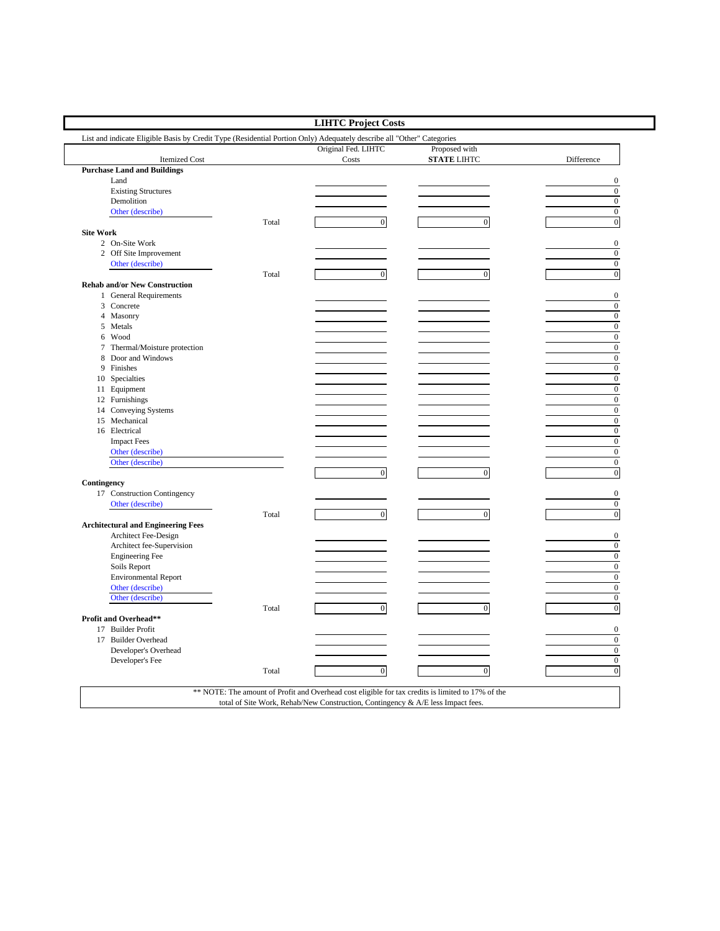| List and indicate Eligible Basis by Credit Type (Residential Portion Only) Adequately describe all "Other" Categories |       |                              |                                     |                  |
|-----------------------------------------------------------------------------------------------------------------------|-------|------------------------------|-------------------------------------|------------------|
| <b>Itemized Cost</b>                                                                                                  |       | Original Fed. LIHTC<br>Costs | Proposed with<br><b>STATE LIHTC</b> | Difference       |
| <b>Purchase Land and Buildings</b>                                                                                    |       |                              |                                     |                  |
| Land                                                                                                                  |       |                              |                                     | $\boldsymbol{0}$ |
| <b>Existing Structures</b>                                                                                            |       |                              |                                     | $\boldsymbol{0}$ |
| Demolition                                                                                                            |       |                              |                                     | $\mathbf 0$      |
| Other (describe)                                                                                                      |       |                              |                                     | $\overline{0}$   |
|                                                                                                                       | Total | $\mathbf{0}$                 | $\overline{0}$                      | $\boldsymbol{0}$ |
| <b>Site Work</b>                                                                                                      |       |                              |                                     |                  |
| 2 On-Site Work                                                                                                        |       |                              |                                     | $\theta$         |
| 2 Off Site Improvement                                                                                                |       |                              |                                     | $\overline{0}$   |
| Other (describe)                                                                                                      |       |                              |                                     | $\boldsymbol{0}$ |
|                                                                                                                       | Total | $\mathbf 0$                  | $\mathbf{0}$                        | $\mathbf{0}$     |
| <b>Rehab and/or New Construction</b>                                                                                  |       |                              |                                     |                  |
| 1 General Requirements                                                                                                |       |                              |                                     | $\boldsymbol{0}$ |
| 3 Concrete                                                                                                            |       |                              |                                     | $\boldsymbol{0}$ |
| 4 Masonry                                                                                                             |       |                              |                                     | $\overline{0}$   |
| 5 Metals                                                                                                              |       |                              |                                     | $\boldsymbol{0}$ |
| 6 Wood                                                                                                                |       |                              |                                     | $\mathbf{0}$     |
| 7 Thermal/Moisture protection                                                                                         |       |                              |                                     | $\boldsymbol{0}$ |
| 8 Door and Windows                                                                                                    |       |                              |                                     | $\mathbf{0}$     |
| 9 Finishes                                                                                                            |       |                              |                                     | $\mathbf 0$      |
| 10 Specialties                                                                                                        |       |                              |                                     | $\overline{0}$   |
| 11 Equipment                                                                                                          |       |                              |                                     | $\boldsymbol{0}$ |
| 12 Furnishings                                                                                                        |       |                              |                                     | $\boldsymbol{0}$ |
| 14 Conveying Systems                                                                                                  |       |                              |                                     | $\overline{0}$   |
| 15 Mechanical                                                                                                         |       |                              |                                     | $\boldsymbol{0}$ |
| 16 Electrical                                                                                                         |       |                              |                                     | $\boldsymbol{0}$ |
| <b>Impact Fees</b>                                                                                                    |       |                              |                                     | $\mathbf{0}$     |
| Other (describe)                                                                                                      |       |                              |                                     | $\boldsymbol{0}$ |
| Other (describe)                                                                                                      |       |                              |                                     | $\mathbf{0}$     |
|                                                                                                                       |       | $\overline{0}$               | $\overline{0}$                      | $\mathbf{0}$     |
| Contingency                                                                                                           |       |                              |                                     |                  |
|                                                                                                                       |       |                              |                                     | $\boldsymbol{0}$ |
| 17 Construction Contingency                                                                                           |       |                              |                                     | $\mathbf{0}$     |
| Other (describe)                                                                                                      | Total | $\overline{0}$               | $\overline{0}$                      | $\mathbf{0}$     |
|                                                                                                                       |       |                              |                                     |                  |
| <b>Architectural and Engineering Fees</b>                                                                             |       |                              |                                     | $\mathbf{0}$     |
| Architect Fee-Design<br>Architect fee-Supervision                                                                     |       |                              |                                     | $\mathbf{0}$     |
|                                                                                                                       |       |                              |                                     | $\boldsymbol{0}$ |
| <b>Engineering Fee</b>                                                                                                |       |                              |                                     | $\boldsymbol{0}$ |
| Soils Report                                                                                                          |       |                              |                                     | $\overline{0}$   |
| <b>Environmental Report</b>                                                                                           |       |                              |                                     |                  |
| Other (describe)                                                                                                      |       |                              |                                     | $\mathbf{0}$     |
| Other (describe)                                                                                                      |       |                              |                                     | $\boldsymbol{0}$ |
|                                                                                                                       | Total | $\boldsymbol{0}$             | $\overline{0}$                      | $\boldsymbol{0}$ |
| Profit and Overhead**                                                                                                 |       |                              |                                     |                  |
| 17 Builder Profit                                                                                                     |       |                              |                                     | $\boldsymbol{0}$ |
| 17 Builder Overhead                                                                                                   |       |                              |                                     | $\boldsymbol{0}$ |
| Developer's Overhead                                                                                                  |       |                              |                                     | $\boldsymbol{0}$ |
| Developer's Fee                                                                                                       |       |                              |                                     | $\boldsymbol{0}$ |
|                                                                                                                       | Total | $\boldsymbol{0}$             | $\boldsymbol{0}$                    | $\overline{0}$   |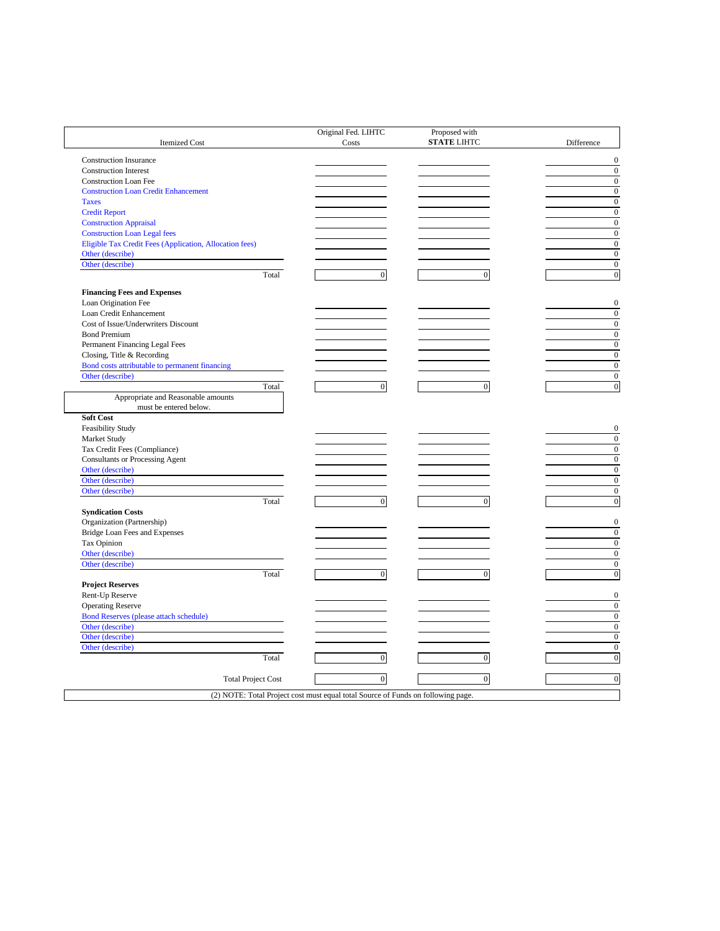| <b>Itemized Cost</b>                                    | Original Fed. LIHTC<br>Costs                                                     | Proposed with<br><b>STATE LIHTC</b> | Difference                         |
|---------------------------------------------------------|----------------------------------------------------------------------------------|-------------------------------------|------------------------------------|
|                                                         |                                                                                  |                                     |                                    |
| <b>Construction Insurance</b>                           |                                                                                  |                                     | $\mathbf{0}$                       |
| <b>Construction Interest</b>                            |                                                                                  |                                     | $\boldsymbol{0}$                   |
| <b>Construction Loan Fee</b>                            |                                                                                  |                                     | $\mathbf{0}$                       |
| <b>Construction Loan Credit Enhancement</b>             |                                                                                  |                                     | $\mathbf{0}$                       |
| <b>Taxes</b>                                            |                                                                                  |                                     | $\mathbf{0}$                       |
| <b>Credit Report</b>                                    |                                                                                  |                                     | $\overline{0}$                     |
| <b>Construction Appraisal</b>                           |                                                                                  |                                     | $\mathbf{0}$                       |
| <b>Construction Loan Legal fees</b>                     |                                                                                  |                                     | $\mathbf{0}$                       |
| Eligible Tax Credit Fees (Application, Allocation fees) |                                                                                  |                                     | $\boldsymbol{0}$                   |
| Other (describe)                                        |                                                                                  |                                     | $\mathbf{0}$                       |
| Other (describe)<br>Total                               |                                                                                  |                                     | $\overline{0}$<br>$\boldsymbol{0}$ |
|                                                         | $\boldsymbol{0}$                                                                 | $\boldsymbol{0}$                    |                                    |
| <b>Financing Fees and Expenses</b>                      |                                                                                  |                                     |                                    |
| Loan Origination Fee                                    |                                                                                  |                                     | $\mathbf{0}$                       |
| Loan Credit Enhancement                                 |                                                                                  |                                     | $\mathbf{0}$                       |
| Cost of Issue/Underwriters Discount                     |                                                                                  |                                     | $\mathbf{0}$                       |
| <b>Bond Premium</b>                                     |                                                                                  |                                     | $\mathbf{0}$                       |
| Permanent Financing Legal Fees                          |                                                                                  |                                     | $\overline{0}$                     |
| Closing, Title & Recording                              |                                                                                  |                                     | $\overline{0}$                     |
| Bond costs attributable to permanent financing          |                                                                                  |                                     | $\mathbf{0}$                       |
| Other (describe)                                        |                                                                                  |                                     | $\mathbf{0}$                       |
| Total                                                   | $\mathbf{0}$                                                                     | $\boldsymbol{0}$                    | $\boldsymbol{0}$                   |
| Appropriate and Reasonable amounts                      |                                                                                  |                                     |                                    |
| must be entered below.                                  |                                                                                  |                                     |                                    |
| Soft Cost                                               |                                                                                  |                                     |                                    |
| Feasibility Study                                       |                                                                                  |                                     | $\boldsymbol{0}$                   |
| Market Study                                            |                                                                                  |                                     | $\mathbf{0}$                       |
| Tax Credit Fees (Compliance)                            |                                                                                  |                                     | $\mathbf{0}$                       |
| <b>Consultants or Processing Agent</b>                  |                                                                                  |                                     | $\boldsymbol{0}$                   |
| Other (describe)                                        |                                                                                  |                                     | $\boldsymbol{0}$                   |
| Other (describe)                                        |                                                                                  |                                     | $\mathbf{0}$                       |
| Other (describe)                                        |                                                                                  |                                     | $\mathbf{0}$                       |
| Total                                                   | $\overline{0}$                                                                   | $\overline{0}$                      | $\boldsymbol{0}$                   |
| <b>Syndication Costs</b>                                |                                                                                  |                                     |                                    |
| Organization (Partnership)                              |                                                                                  |                                     | $\mathbf{0}$                       |
| <b>Bridge Loan Fees and Expenses</b>                    |                                                                                  |                                     | $\boldsymbol{0}$                   |
| Tax Opinion                                             |                                                                                  |                                     | $\mathbf{0}$                       |
| Other (describe)                                        |                                                                                  |                                     | $\overline{0}$                     |
| Other (describe)                                        |                                                                                  |                                     | $\mathbf{0}$                       |
| Total                                                   | $\overline{0}$                                                                   | $\overline{0}$                      | $\boldsymbol{0}$                   |
| <b>Project Reserves</b>                                 |                                                                                  |                                     |                                    |
| Rent-Up Reserve                                         |                                                                                  |                                     | $\mathbf{0}$                       |
| Operating Reserve                                       |                                                                                  |                                     | $\overline{0}$                     |
| <b>Bond Reserves (please attach schedule)</b>           |                                                                                  |                                     | $\mathbf{0}$                       |
| Other (describe)                                        |                                                                                  |                                     | $\overline{0}$                     |
| Other (describe)                                        |                                                                                  |                                     | $\boldsymbol{0}$                   |
| Other (describe)                                        |                                                                                  |                                     | $\mathbf{0}$                       |
| Total                                                   | $\mathbf{0}$                                                                     | $\mathbf{0}$                        | $\boldsymbol{0}$                   |
|                                                         |                                                                                  |                                     |                                    |
| <b>Total Project Cost</b>                               | $\mathbf{0}$                                                                     | $\boldsymbol{0}$                    | $\boldsymbol{0}$                   |
|                                                         | (2) NOTE: Total Project cost must equal total Source of Funds on following page. |                                     |                                    |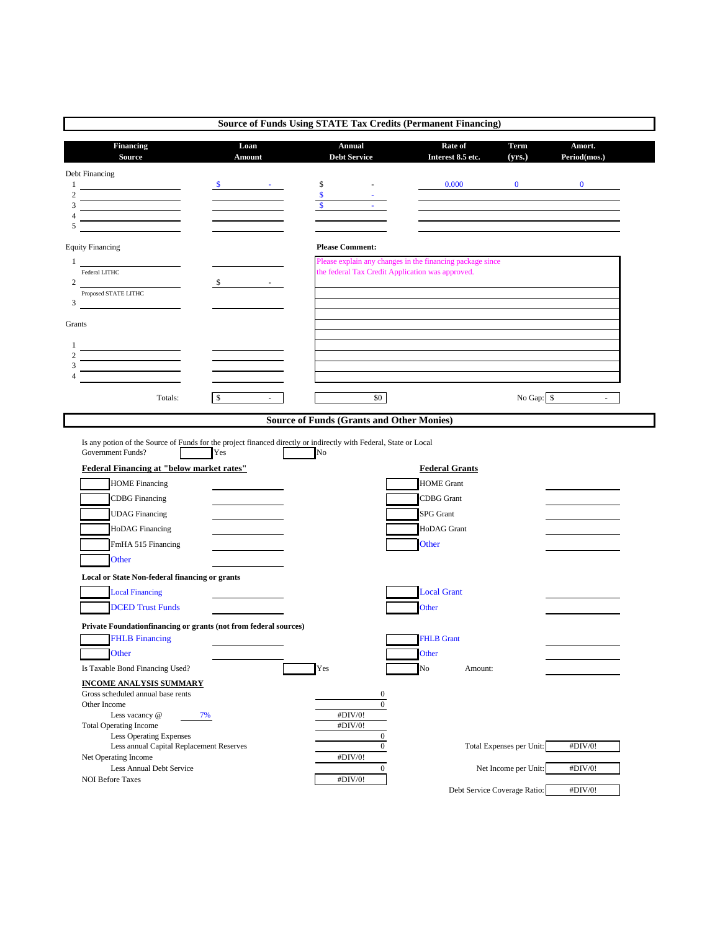| <b>Financing</b><br><b>Source</b>                                   | Loan<br>Amount                           | Annual<br><b>Debt Service</b>                                                                                                                                                           | Rate of<br>Interest 8.5 etc.                              | Term<br>(yrs.)           | Amort.<br>Period(mos.) |
|---------------------------------------------------------------------|------------------------------------------|-----------------------------------------------------------------------------------------------------------------------------------------------------------------------------------------|-----------------------------------------------------------|--------------------------|------------------------|
| Debt Financing                                                      |                                          |                                                                                                                                                                                         |                                                           |                          |                        |
| $\mathbf{1}$<br>$\overline{2}$                                      |                                          | \$                                                                                                                                                                                      | 0.000                                                     | $\mathbf{0}$             | $\mathbf{0}$           |
| 3<br><u> 1989 - Johann Barbara, martin a</u>                        |                                          |                                                                                                                                                                                         |                                                           |                          |                        |
| $\overline{4}$<br>5                                                 |                                          |                                                                                                                                                                                         |                                                           |                          |                        |
| <b>Equity Financing</b>                                             |                                          | <b>Please Comment:</b>                                                                                                                                                                  |                                                           |                          |                        |
| 1                                                                   |                                          |                                                                                                                                                                                         | Please explain any changes in the financing package since |                          |                        |
| Federal LITHC<br>2                                                  | $\sim$ $\sim$                            |                                                                                                                                                                                         | the federal Tax Credit Application was approved.          |                          |                        |
| Proposed STATE LITHC                                                |                                          |                                                                                                                                                                                         |                                                           |                          |                        |
| 3<br>$\sim$ 100 $\mu$ m $^{-1}$ .                                   |                                          |                                                                                                                                                                                         |                                                           |                          |                        |
| Grants                                                              |                                          |                                                                                                                                                                                         |                                                           |                          |                        |
| 1                                                                   |                                          |                                                                                                                                                                                         |                                                           |                          |                        |
| $\overline{2}$<br><u> 1989 - Johann Barbara, martin a</u><br>3      |                                          |                                                                                                                                                                                         |                                                           |                          |                        |
|                                                                     |                                          |                                                                                                                                                                                         |                                                           |                          |                        |
| Totals:                                                             | \$<br>$\sim$                             |                                                                                                                                                                                         | \$0                                                       | No Gap: \$               | $\omega$               |
|                                                                     |                                          |                                                                                                                                                                                         |                                                           |                          |                        |
| Government Funds?                                                   | Yes                                      | <b>Source of Funds (Grants and Other Monies)</b><br>Is any potion of the Source of Funds for the project financed directly or indirectly with Federal, State or Local<br>N <sub>o</sub> |                                                           |                          |                        |
| Federal Financing at "below market rates"                           |                                          |                                                                                                                                                                                         | <b>Federal Grants</b>                                     |                          |                        |
| <b>HOME Financing</b>                                               |                                          |                                                                                                                                                                                         | <b>HOME</b> Grant                                         |                          |                        |
| <b>CDBG</b> Financing                                               |                                          |                                                                                                                                                                                         | <b>CDBG</b> Grant                                         |                          |                        |
| <b>UDAG Financing</b>                                               |                                          |                                                                                                                                                                                         | SPG Grant                                                 |                          |                        |
| <b>HoDAG</b> Financing<br>FmHA 515 Financing                        |                                          |                                                                                                                                                                                         | HoDAG Grant<br>Other                                      |                          |                        |
| Other                                                               |                                          |                                                                                                                                                                                         |                                                           |                          |                        |
| Local or State Non-federal financing or grants                      |                                          |                                                                                                                                                                                         |                                                           |                          |                        |
| <b>Local Financing</b>                                              |                                          |                                                                                                                                                                                         | <b>Local Grant</b>                                        |                          |                        |
| <b>DCED Trust Funds</b>                                             |                                          |                                                                                                                                                                                         | Other                                                     |                          |                        |
| Private Foundationfinancing or grants (not from federal sources)    |                                          |                                                                                                                                                                                         |                                                           |                          |                        |
| <b>FHLB Financing</b>                                               |                                          |                                                                                                                                                                                         | <b>FHLB Grant</b>                                         |                          |                        |
| Other                                                               |                                          |                                                                                                                                                                                         | Other                                                     |                          |                        |
| Is Taxable Bond Financing Used?                                     |                                          | Yes                                                                                                                                                                                     | No                                                        | Amount:                  |                        |
| <b>INCOME ANALYSIS SUMMARY</b><br>Gross scheduled annual base rents |                                          |                                                                                                                                                                                         | 0                                                         |                          |                        |
| Other Income                                                        |                                          |                                                                                                                                                                                         | $\boldsymbol{0}$                                          |                          |                        |
| Less vacancy @<br><b>Total Operating Income</b>                     | 7%                                       | #DIV/0!<br>#DIV/0!                                                                                                                                                                      |                                                           |                          |                        |
| Less Operating Expenses                                             |                                          |                                                                                                                                                                                         | $\boldsymbol{0}$                                          |                          |                        |
| Net Operating Income                                                | Less annual Capital Replacement Reserves | #DIV/0!                                                                                                                                                                                 | $\boldsymbol{0}$                                          | Total Expenses per Unit: | #DIV/0!                |
| Less Annual Debt Service<br><b>NOI Before Taxes</b>                 |                                          | #DIV/0!                                                                                                                                                                                 | $\boldsymbol{0}$                                          | Net Income per Unit:     | #DIV/0!                |